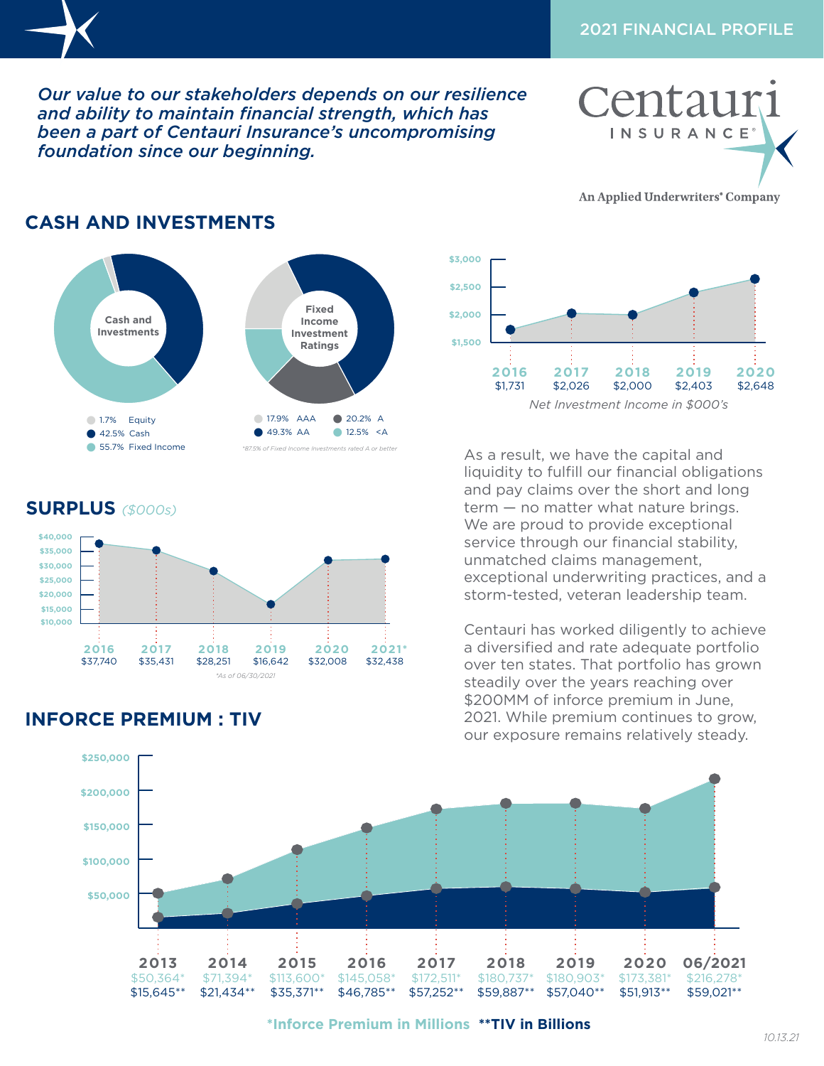$\sim$  54.6%  $\sim$  6.6%  $\sim$ 

 $2.6$  F  $\sim$  1.1 s

**2020** \$2,648

**Reinsurers**

**2016** \$1,731

 **2021\*** \$32,438

**\$1,500**

**\$2,500 \$3,000**

> **2017** \$2,026

*Our value to our stakeholders depends on our resilience*  **\$25,000** and ability to maintain financial strength, which has **been a part of Centauri Insurance's uncompromising** foundation since our beginning. 911 MS **2016 \$15,000 \$10,000 \$30,000**

**\$40,000**

 6.4% NR\* **INSURANCE** 

An Applied Underwriters<sup>®</sup> Company

**2019** \$2,403



## **SURPLUS** *(\$000s)*



## **INFORCE PREMIUM : TIV**

As a result, we have the capital and liquidity to fulfill our financial obligations and pay claims over the short and long term — no matter what nature brings. **\$40,000** We are proud to provide exceptional service through our financial stability, **\$30,000 Investments** unmatched claims management, **\$25,000** exceptional underwriting practices, and a **\$20,000** storm-tested, veteran leadership team.

**2018** \$2,000

**Cash and Investments**

*Net Investment Income in \$000's Net Investment Income in \$000's*

Centauri has worked diligently to achieve **2019 2020 06/2021 2018 2017** a diversified and rate adequate portfolio a diversince and rate deequate portions **EXPREMILLION IN MILLION IN AN IN AIR SPECIES** \$200MM of inforce premium in June, 2021. While premium continues to grow, our exposure remains relatively steady.



**\*Inforce Premium in Millions \*\*TIV in Billions**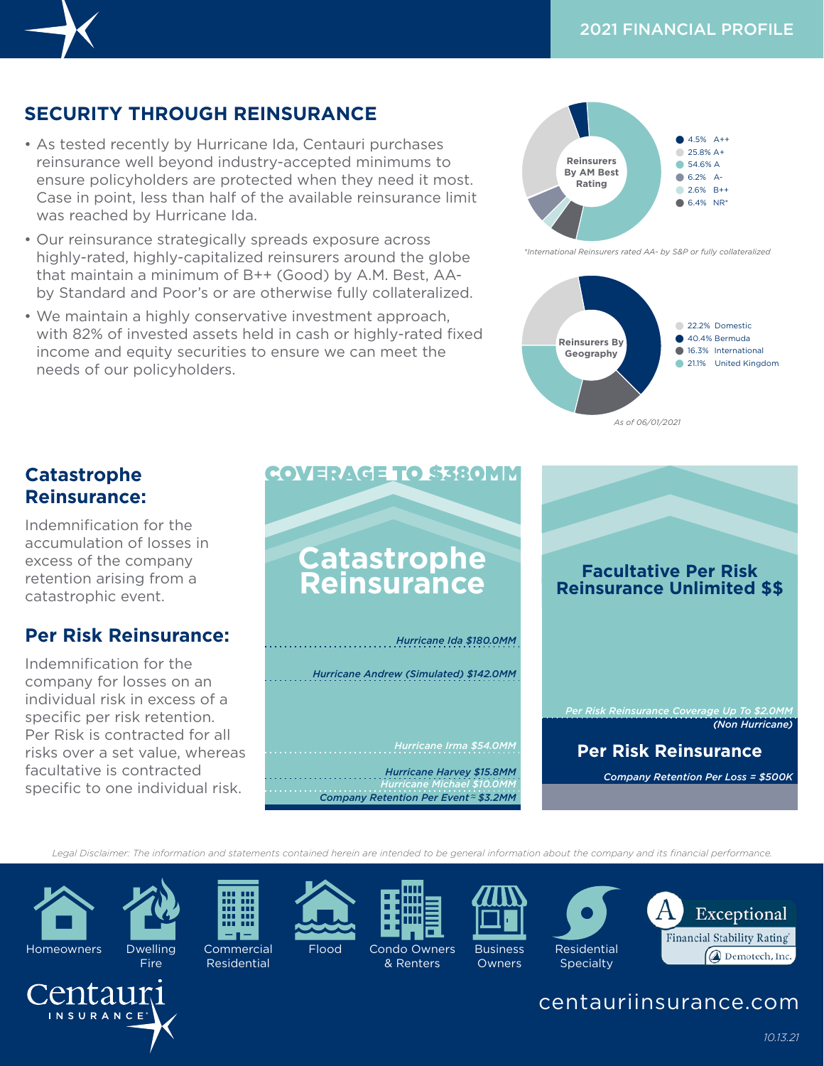## **SECURITY THROUGH REINSURANCE**

- As tested recently by Hurricane Ida, Centauri purchases reinsurance well beyond industry-accepted minimums to ensure policyholders are protected when they need it most. *Exambesi***ng** Case in point, less than half of the available reinsurance limit was reached by Hurricane Ida.
- Our reinsurance strategically spreads exposure across **\$200** highly-rated, highly-capitalized reinsurers around the globe that maintain a minimum of B++ (Good) by A.M. Best, AA-**\$150** by Standard and Poor's or are otherwise fully collateralized.
- We maintain a highly conservative investment approach, **\$100** with 82% of invested assets held in cash or highly-rated fixed **\$50** income and equity securities to ensure we can meet the needs of our policyholders.



**Rating**

*\*International Reinsurers rated AA- by S&P or fully collateralized*



#### **Catastrophe Reinsurance:**

Indemnification for the accumulation of losses in excess of the company retention arising from a catastrophic event.

#### **Per Risk Reinsurance:**

Indemnification for the company for losses on an individual risk in excess of a specific per risk retention. Per Risk is contracted for all risks over a set value, whereas facultative is contracted specific to one individual risk.

Fire



*Legal Disclaimer: The information and statements contained herein are intended to be general information about the company and its financial performance.* **\$35,000** 49.3% AA 12.5% <A



itaur INSURANCE<sup>®</sup>



**Commercial** Residential









**\$30,000**

*\*87.5% of Fixed Income Investments rated A or better*



centauriinsurance.com

Flood Condo Owners & Renters

**Owners** 

**2018**